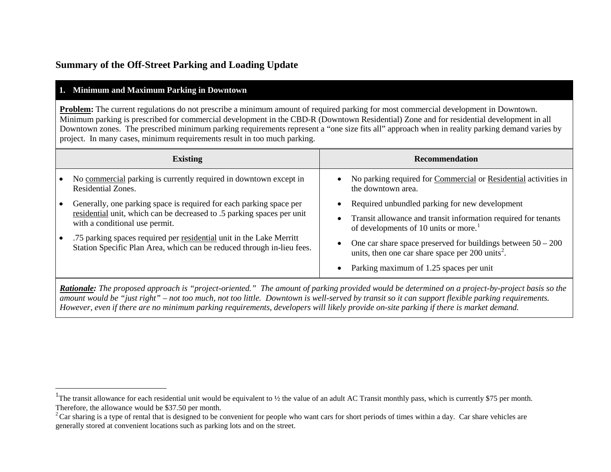# <span id="page-0-1"></span><span id="page-0-0"></span>**Summary of the Off-Street Parking and Loading Update**

# **1. Minimum and Maximum Parking in Downtown**

**Problem:** The current regulations do not prescribe a minimum amount of required parking for most commercial development in Downtown. Minimum parking is prescribed for commercial development in the CBD-R (Downtown Residential) Zone and for residential development in all Downtown zones. The prescribed minimum parking requirements represent a "one size fits all" approach when in reality parking demand varies by project. In many cases, minimum requirements result in too much parking.

| <b>Existing</b>                                                                                                                                                                                                                                                                                                                   | <b>Recommendation</b>                                                                                                                                                                                                                                                                                                                 |
|-----------------------------------------------------------------------------------------------------------------------------------------------------------------------------------------------------------------------------------------------------------------------------------------------------------------------------------|---------------------------------------------------------------------------------------------------------------------------------------------------------------------------------------------------------------------------------------------------------------------------------------------------------------------------------------|
| No commercial parking is currently required in downtown except in<br>Residential Zones.                                                                                                                                                                                                                                           | No parking required for Commercial or Residential activities in<br>the downtown area.                                                                                                                                                                                                                                                 |
| Generally, one parking space is required for each parking space per<br>residential unit, which can be decreased to .5 parking spaces per unit<br>with a conditional use permit.<br>.75 parking spaces required per residential unit in the Lake Merritt<br>Station Specific Plan Area, which can be reduced through in-lieu fees. | Required unbundled parking for new development<br>Transit allowance and transit information required for tenants<br>of developments of 10 units or more.<br>One car share space preserved for buildings between $50 - 200$<br>units, then one car share space per 200 units <sup>2</sup> .<br>Parking maximum of 1.25 spaces per unit |

*Rationale: The proposed approach is "project-oriented." The amount of parking provided would be determined on a project-by-project basis so the amount would be "just right" – not too much, not too little. Downtown is well-served by transit so it can support flexible parking requirements. However, even if there are no minimum parking requirements, developers will likely provide on-site parking if there is market demand.* 

<sup>&</sup>lt;sup>1</sup>The transit allowance for each residential unit would be equivalent to ½ the value of an adult AC Transit monthly pass, which is currently \$75 per month. Therefore, the allowance would be \$37.50 per month.

<sup>&</sup>lt;sup>2</sup> Car sharing is a type of rental that is designed to be convenient for people who want cars for short periods of times within a day. Car share vehicles are generally stored at convenient locations such as parking lots and on the street.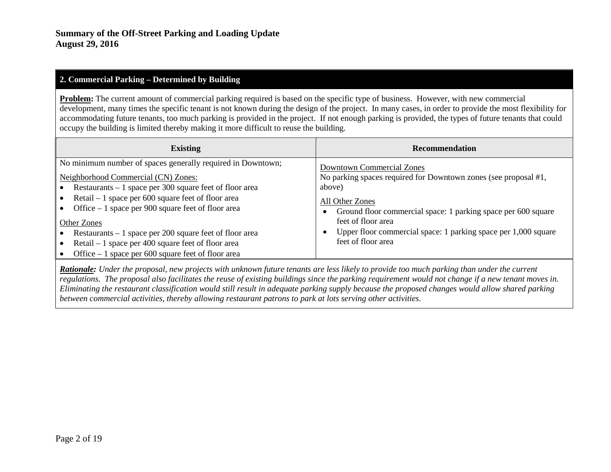## **2. Commercial Parking – Determined by Building**

**Problem:** The current amount of commercial parking required is based on the specific type of business. However, with new commercial development, many times the specific tenant is not known during the design of the project. In many cases, in order to provide the most flexibility for accommodating future tenants, too much parking is provided in the project. If not enough parking is provided, the types of future tenants that could occupy the building is limited thereby making it more difficult to reuse the building.

| <b>Existing</b>                                                                                                                                                                       | <b>Recommendation</b>                                                                                      |
|---------------------------------------------------------------------------------------------------------------------------------------------------------------------------------------|------------------------------------------------------------------------------------------------------------|
| No minimum number of spaces generally required in Downtown;                                                                                                                           | <b>Downtown Commercial Zones</b>                                                                           |
| Neighborhood Commercial (CN) Zones:                                                                                                                                                   | No parking spaces required for Downtown zones (see proposal #1,                                            |
| Restaurants – 1 space per 300 square feet of floor area                                                                                                                               | above)                                                                                                     |
| Retail $-1$ space per 600 square feet of floor area                                                                                                                                   | All Other Zones                                                                                            |
| Office $-1$ space per 900 square feet of floor area                                                                                                                                   | Ground floor commercial space: 1 parking space per 600 square                                              |
| Other Zones<br>Restaurants $-1$ space per 200 square feet of floor area<br>Retail $-1$ space per 400 square feet of floor area<br>Office $-1$ space per 600 square feet of floor area | feet of floor area<br>Upper floor commercial space: 1 parking space per 1,000 square<br>feet of floor area |

*Rationale: Under the proposal, new projects with unknown future tenants are less likely to provide too much parking than under the current regulations. The proposal also facilitates the reuse of existing buildings since the parking requirement would not change if a new tenant moves in. Eliminating the restaurant classification would still result in adequate parking supply because the proposed changes would allow shared parking between commercial activities, thereby allowing restaurant patrons to park at lots serving other activities.*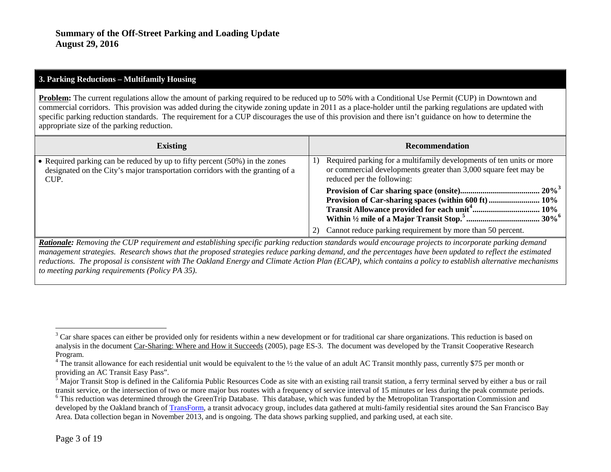#### <span id="page-2-3"></span><span id="page-2-2"></span><span id="page-2-1"></span><span id="page-2-0"></span>**3. Parking Reductions – Multifamily Housing**

**Problem:** The current regulations allow the amount of parking required to be reduced up to 50% with a Conditional Use Permit (CUP) in Downtown and commercial corridors. This provision was added during the citywide zoning update in 2011 as a place-holder until the parking regulations are updated with specific parking reduction standards. The requirement for a CUP discourages the use of this provision and there isn't guidance on how to determine the appropriate size of the parking reduction.

| <b>Existing</b>                                                                                                                                                          | <b>Recommendation</b>                                                                                                                                                        |
|--------------------------------------------------------------------------------------------------------------------------------------------------------------------------|------------------------------------------------------------------------------------------------------------------------------------------------------------------------------|
| • Required parking can be reduced by up to fifty percent $(50\%)$ in the zones<br>designated on the City's major transportation corridors with the granting of a<br>CUP. | Required parking for a multifamily developments of ten units or more<br>1)<br>or commercial developments greater than 3,000 square feet may be<br>reduced per the following: |
|                                                                                                                                                                          |                                                                                                                                                                              |
|                                                                                                                                                                          | Cannot reduce parking requirement by more than 50 percent.                                                                                                                   |

*Rationale: Removing the CUP requirement and establishing specific parking reduction standards would encourage projects to incorporate parking demand management strategies. Research shows that the proposed strategies reduce parking demand, and the percentages have been updated to reflect the estimated reductions. The proposal is consistent with The Oakland Energy and Climate Action Plan (ECAP), which contains a policy to establish alternative mechanisms to meeting parking requirements (Policy PA 35).*

<sup>&</sup>lt;sup>3</sup> Car share spaces can either be provided only for residents within a new development or for traditional car share organizations. This reduction is based on analysis in the document Car-Sharing: Where and How it Succeeds (2005), page ES-3. The document was developed by the Transit Cooperative Research Program.<br><sup>4</sup> The transit allowance for each residential unit would be equivalent to the ½ the value of an adult AC Transit monthly pass, currently \$75 per month or

providing an AC Transit Easy Pass".<br><sup>5</sup> Major Transit Stop is defined in the California Public Resources Code as site with an existing rail transit station, a ferry terminal served by either a bus or rail transit service, <sup>6</sup> This reduction was determined through the GreenTrip Database. This database, which was funded by the Metropolitan Transportation Commission and developed by the Oakland branch o[f TransForm,](http://www.transformca.org/) a transit advocacy group, includes data gathered at multi-family residential sites around the San Francisco Bay Area. Data collection began in November 2013, and is ongoing. The data shows parking supplied, and parking used, at each site.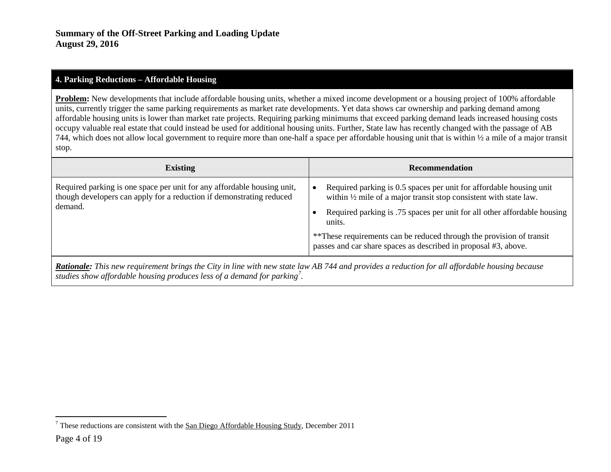## <span id="page-3-0"></span>**4. Parking Reductions – Affordable Housing**

**Problem:** New developments that include affordable housing units, whether a mixed income development or a housing project of 100% affordable units, currently trigger the same parking requirements as market rate developments. Yet data shows car ownership and parking demand among affordable housing units is lower than market rate projects. Requiring parking minimums that exceed parking demand leads increased housing costs occupy valuable real estate that could instead be used for additional housing units. Further, State law has recently changed with the passage of AB 744, which does not allow local government to require more than one-half a space per affordable housing unit that is within  $\frac{1}{2}$  a mile of a major transit stop.

| <b>Existing</b>                                                                                                                                            | <b>Recommendation</b>                                                                                                                                                                                                                                                                                                                                                                |
|------------------------------------------------------------------------------------------------------------------------------------------------------------|--------------------------------------------------------------------------------------------------------------------------------------------------------------------------------------------------------------------------------------------------------------------------------------------------------------------------------------------------------------------------------------|
| Required parking is one space per unit for any affordable housing unit,<br>though developers can apply for a reduction if demonstrating reduced<br>demand. | Required parking is 0.5 spaces per unit for affordable housing unit<br>within $\frac{1}{2}$ mile of a major transit stop consistent with state law.<br>Required parking is .75 spaces per unit for all other affordable housing<br>units.<br>**These requirements can be reduced through the provision of transit<br>passes and car share spaces as described in proposal #3, above. |
| <b>Dationale:</b> This new requirement brings the City in line with new state law AR 744 and provides a reduction for all affordable housing because       |                                                                                                                                                                                                                                                                                                                                                                                      |

*Rationale: This new requirement brings the City in line with new state law AB 744 and provides a reduction for all affordable housing because studies show affordable housing produces less of a demand for parking[7](#page-3-0) .*

 <sup>7</sup> These reductions are consistent with the San Diego Affordable Housing Study, December 2011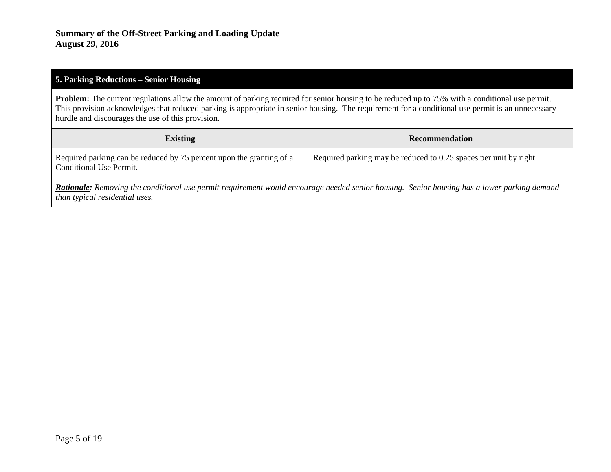#### **5. Parking Reductions – Senior Housing**

**Problem:** The current regulations allow the amount of parking required for senior housing to be reduced up to 75% with a conditional use permit. This provision acknowledges that reduced parking is appropriate in senior housing. The requirement for a conditional use permit is an unnecessary hurdle and discourages the use of this provision.

| <b>Existing</b>                                                                                 | Recommendation                                                    |
|-------------------------------------------------------------------------------------------------|-------------------------------------------------------------------|
| Required parking can be reduced by 75 percent upon the granting of a<br>Conditional Use Permit. | Required parking may be reduced to 0.25 spaces per unit by right. |

*Rationale: Removing the conditional use permit requirement would encourage needed senior housing. Senior housing has a lower parking demand than typical residential uses.*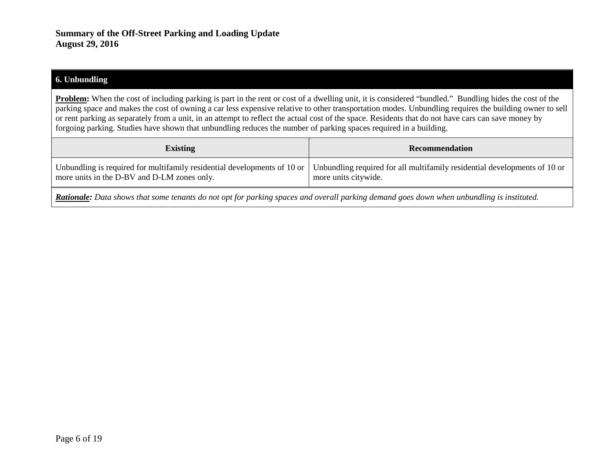#### **6. Unbundling**

**Problem:** When the cost of including parking is part in the rent or cost of a dwelling unit, it is considered "bundled." Bundling hides the cost of the parking space and makes the cost of owning a car less expensive relative to other transportation modes. Unbundling requires the building owner to sell or rent parking as separately from a unit, in an attempt to reflect the actual cost of the space. Residents that do not have cars can save money by forgoing parking. Studies have shown that unbundling reduces the number of parking spaces required in a building.

| <b>Existing</b>                             | Recommendation                                                                                                                                                                     |
|---------------------------------------------|------------------------------------------------------------------------------------------------------------------------------------------------------------------------------------|
| more units in the D-BV and D-LM zones only. | Unbundling is required for multifamily residential developments of 10 or $\vert$ Unbundling required for all multifamily residential developments of 10 or<br>more units citywide. |
|                                             |                                                                                                                                                                                    |

*Rationale: Data shows that some tenants do not opt for parking spaces and overall parking demand goes down when unbundling is instituted.*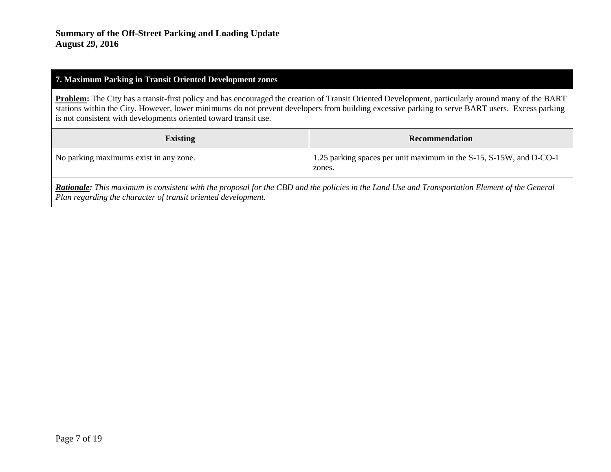## **7. Maximum Parking in Transit Oriented Development zones**

**Problem:** The City has a transit-first policy and has encouraged the creation of Transit Oriented Development, particularly around many of the BART stations within the City. However, lower minimums do not prevent developers from building excessive parking to serve BART users. Excess parking is not consistent with developments oriented toward transit use.

| <b>Existing</b>                        | Recommendation                                                                |
|----------------------------------------|-------------------------------------------------------------------------------|
| No parking maximums exist in any zone. | 1.25 parking spaces per unit maximum in the S-15, S-15W, and D-CO-1<br>zones. |

*Rationale: This maximum is consistent with the proposal for the CBD and the policies in the Land Use and Transportation Element of the General Plan regarding the character of transit oriented development.*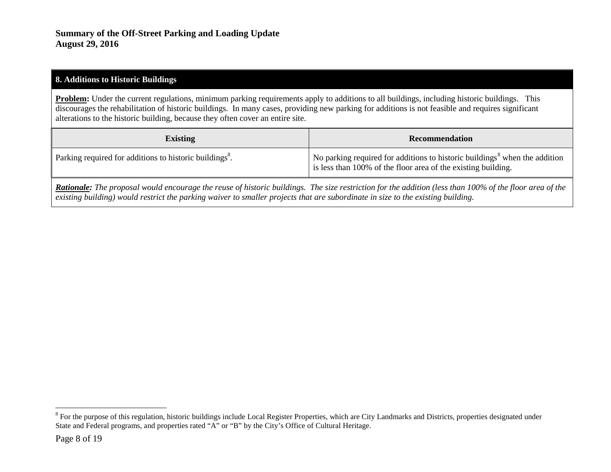### <span id="page-7-0"></span>**8. Additions to Historic Buildings**

**Problem:** Under the current regulations, minimum parking requirements apply to additions to all buildings, including historic buildings. This discourages the rehabilitation of historic buildings. In many cases, providing new parking for additions is not feasible and requires significant alterations to the historic building, because they often cover an entire site.

| <b>Existing</b>                                                     | Recommendation                                                                                                                                          |
|---------------------------------------------------------------------|---------------------------------------------------------------------------------------------------------------------------------------------------------|
| Parking required for additions to historic buildings <sup>8</sup> . | No parking required for additions to historic buildings <sup>8</sup> when the addition<br>is less than 100% of the floor area of the existing building. |

*Rationale: The proposal would encourage the reuse of historic buildings. The size restriction for the addition (less than 100% of the floor area of the existing building) would restrict the parking waiver to smaller projects that are subordinate in size to the existing building.*

<sup>&</sup>lt;sup>8</sup> For the purpose of this regulation, historic buildings include Local Register Properties, which are City Landmarks and Districts, properties designated under State and Federal programs, and properties rated "A" or "B" by the City's Office of Cultural Heritage.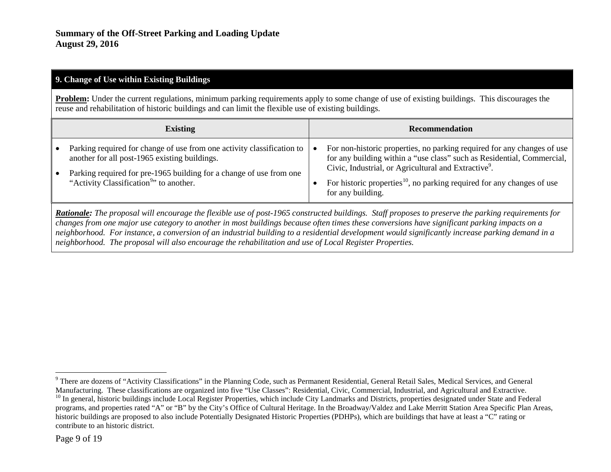## <span id="page-8-1"></span><span id="page-8-0"></span>**9. Change of Use within Existing Buildings**

**Problem:** Under the current regulations, minimum parking requirements apply to some change of use of existing buildings. This discourages the reuse and rehabilitation of historic buildings and can limit the flexible use of existing buildings.

| <b>Existing</b>                                                                                                                                                                                                                                         | <b>Recommendation</b>                                                                                                                                                                                                                                                                                                            |
|---------------------------------------------------------------------------------------------------------------------------------------------------------------------------------------------------------------------------------------------------------|----------------------------------------------------------------------------------------------------------------------------------------------------------------------------------------------------------------------------------------------------------------------------------------------------------------------------------|
| Parking required for change of use from one activity classification to  <br>another for all post-1965 existing buildings.<br>Parking required for pre-1965 building for a change of use from one<br>"Activity Classification <sup>9</sup> " to another. | For non-historic properties, no parking required for any changes of use<br>for any building within a "use class" such as Residential, Commercial,<br>Civic, Industrial, or Agricultural and Extractive <sup>9</sup> .<br>For historic properties <sup>10</sup> , no parking required for any changes of use<br>for any building. |

*Rationale: The proposal will encourage the flexible use of post-1965 constructed buildings. Staff proposes to preserve the parking requirements for changes from one major use category to another in most buildings because often times these conversions have significant parking impacts on a neighborhood. For instance, a conversion of an industrial building to a residential development would significantly increase parking demand in a neighborhood. The proposal will also encourage the rehabilitation and use of Local Register Properties.*

<sup>&</sup>lt;sup>9</sup> There are dozens of "Activity Classifications" in the Planning Code, such as Permanent Residential, General Retail Sales, Medical Services, and General Manufacturing. These classifications are organized into five "Use

<sup>&</sup>lt;sup>10</sup> In general, historic buildings include Local Register Properties, which include City Landmarks and Districts, properties designated under State and Federal programs, and properties rated "A" or "B" by the City's Office of Cultural Heritage. In the Broadway/Valdez and Lake Merritt Station Area Specific Plan Areas, historic buildings are proposed to also include Potentially Designated Historic Properties (PDHPs), which are buildings that have at least a "C" rating or contribute to an historic district.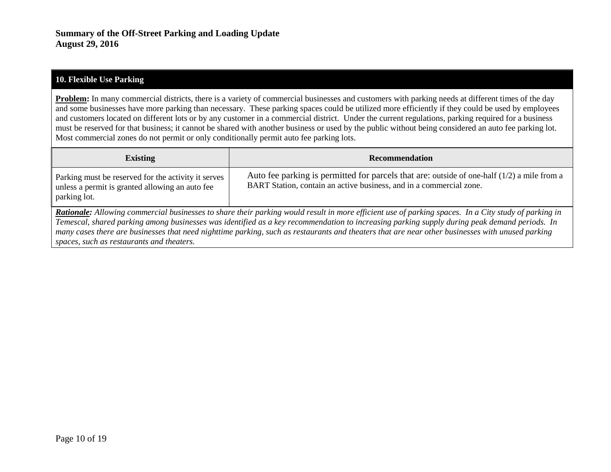#### **10. Flexible Use Parking**

**Problem:** In many commercial districts, there is a variety of commercial businesses and customers with parking needs at different times of the day and some businesses have more parking than necessary. These parking spaces could be utilized more efficiently if they could be used by employees and customers located on different lots or by any customer in a commercial district. Under the current regulations, parking required for a business must be reserved for that business; it cannot be shared with another business or used by the public without being considered an auto fee parking lot. Most commercial zones do not permit or only conditionally permit auto fee parking lots.

| <b>Existing</b>                                                                                                                                                                                                                                                                                             | <b>Recommendation</b>                                                                                                                                                |
|-------------------------------------------------------------------------------------------------------------------------------------------------------------------------------------------------------------------------------------------------------------------------------------------------------------|----------------------------------------------------------------------------------------------------------------------------------------------------------------------|
| Parking must be reserved for the activity it serves<br>unless a permit is granted allowing an auto fee<br>parking lot.                                                                                                                                                                                      | Auto fee parking is permitted for parcels that are: outside of one-half $(1/2)$ a mile from a<br>BART Station, contain an active business, and in a commercial zone. |
| <b>Rationale:</b> Allowing commercial businesses to share their parking would result in more efficient use of parking spaces. In a City study of parking in<br>Temescal, shared parking among businesses was identified as a key recommendation to increasing parking supply during peak demand periods. In |                                                                                                                                                                      |
| many cases there are businesses that need nighttime parking, such as restaurants and theaters that are near other businesses with unused parking<br>spaces, such as restaurants and theaters.                                                                                                               |                                                                                                                                                                      |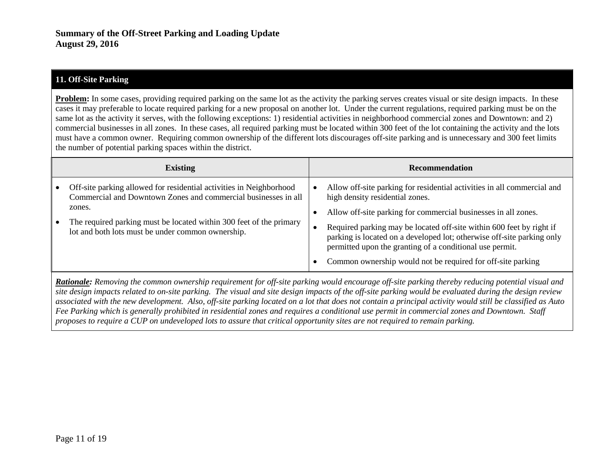## **11. Off-Site Parking**

**Problem:** In some cases, providing required parking on the same lot as the activity the parking serves creates visual or site design impacts. In these cases it may preferable to locate required parking for a new proposal on another lot. Under the current regulations, required parking must be on the same lot as the activity it serves, with the following exceptions: 1) residential activities in neighborhood commercial zones and Downtown: and 2) commercial businesses in all zones. In these cases, all required parking must be located within 300 feet of the lot containing the activity and the lots must have a common owner. Requiring common ownership of the different lots discourages off-site parking and is unnecessary and 300 feet limits the number of potential parking spaces within the district.

| Allow off-site parking for residential activities in all commercial and<br>Off-site parking allowed for residential activities in Neighborhood<br>Commercial and Downtown Zones and commercial businesses in all<br>high density residential zones.<br>zones.<br>Allow off-site parking for commercial businesses in all zones.<br>The required parking must be located within 300 feet of the primary<br>Required parking may be located off-site within 600 feet by right if<br>lot and both lots must be under common ownership.<br>parking is located on a developed lot; otherwise off-site parking only<br>permitted upon the granting of a conditional use permit.<br>Common ownership would not be required for off-site parking | <b>Existing</b> | <b>Recommendation</b> |
|------------------------------------------------------------------------------------------------------------------------------------------------------------------------------------------------------------------------------------------------------------------------------------------------------------------------------------------------------------------------------------------------------------------------------------------------------------------------------------------------------------------------------------------------------------------------------------------------------------------------------------------------------------------------------------------------------------------------------------------|-----------------|-----------------------|
|                                                                                                                                                                                                                                                                                                                                                                                                                                                                                                                                                                                                                                                                                                                                          |                 |                       |
|                                                                                                                                                                                                                                                                                                                                                                                                                                                                                                                                                                                                                                                                                                                                          |                 |                       |

*Rationale: Removing the common ownership requirement for off-site parking would encourage off-site parking thereby reducing potential visual and site design impacts related to on-site parking. The visual and site design impacts of the off-site parking would be evaluated during the design review associated with the new development. Also, off-site parking located on a lot that does not contain a principal activity would still be classified as Auto Fee Parking which is generally prohibited in residential zones and requires a conditional use permit in commercial zones and Downtown. Staff proposes to require a CUP on undeveloped lots to assure that critical opportunity sites are not required to remain parking.*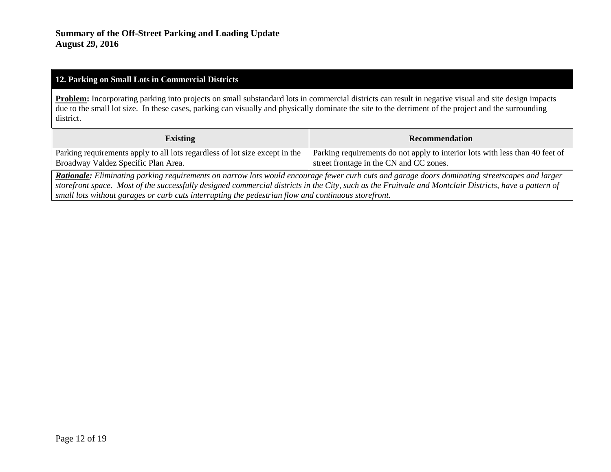#### **12. Parking on Small Lots in Commercial Districts**

Problem: Incorporating parking into projects on small substandard lots in commercial districts can result in negative visual and site design impacts due to the small lot size. In these cases, parking can visually and physically dominate the site to the detriment of the project and the surrounding district.

| <b>Existing</b>                                                             | <b>Recommendation</b>                                                        |
|-----------------------------------------------------------------------------|------------------------------------------------------------------------------|
| Parking requirements apply to all lots regardless of lot size except in the | Parking requirements do not apply to interior lots with less than 40 feet of |
| Broadway Valdez Specific Plan Area.                                         | street frontage in the CN and CC zones.                                      |

*Rationale: Eliminating parking requirements on narrow lots would encourage fewer curb cuts and garage doors dominating streetscapes and larger storefront space. Most of the successfully designed commercial districts in the City, such as the Fruitvale and Montclair Districts, have a pattern of small lots without garages or curb cuts interrupting the pedestrian flow and continuous storefront.*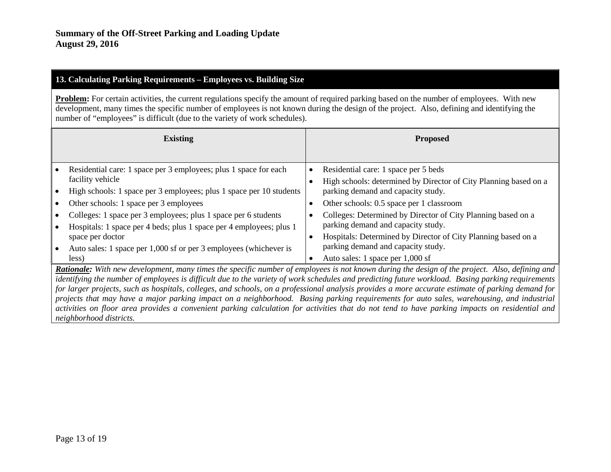# **13. Calculating Parking Requirements – Employees vs. Building Size**

**Problem:** For certain activities, the current regulations specify the amount of required parking based on the number of employees. With new development, many times the specific number of employees is not known during the design of the project. Also, defining and identifying the number of "employees" is difficult (due to the variety of work schedules).

| <b>Existing</b>                                                                                                                                       | <b>Proposed</b>                                                                                                                               |
|-------------------------------------------------------------------------------------------------------------------------------------------------------|-----------------------------------------------------------------------------------------------------------------------------------------------|
|                                                                                                                                                       |                                                                                                                                               |
| Residential care: 1 space per 3 employees; plus 1 space for each                                                                                      | Residential care: 1 space per 5 beds<br>٠                                                                                                     |
| facility vehicle                                                                                                                                      | High schools: determined by Director of City Planning based on a                                                                              |
| High schools: 1 space per 3 employees; plus 1 space per 10 students                                                                                   | parking demand and capacity study.                                                                                                            |
| Other schools: 1 space per 3 employees                                                                                                                | Other schools: 0.5 space per 1 classroom                                                                                                      |
| Colleges: 1 space per 3 employees; plus 1 space per 6 students                                                                                        | Colleges: Determined by Director of City Planning based on a                                                                                  |
| Hospitals: 1 space per 4 beds; plus 1 space per 4 employees; plus 1                                                                                   | parking demand and capacity study.                                                                                                            |
| space per doctor                                                                                                                                      | Hospitals: Determined by Director of City Planning based on a<br>$\bullet$                                                                    |
| Auto sales: 1 space per 1,000 sf or per 3 employees (whichever is                                                                                     | parking demand and capacity study.                                                                                                            |
| less)                                                                                                                                                 | Auto sales: 1 space per 1,000 sf<br>$\bullet$                                                                                                 |
| <b>Rationale:</b> With new development, many times the specific number of employees is not known during the design of the project. Also, defining and |                                                                                                                                               |
| identifying the number of employees is difficult due to the variety of work schedules and predicting future workload. Basing parking requirements     |                                                                                                                                               |
| for larger projects, such as hospitals, colleges, and schools, on a professional analysis provides a more accurate estimate of parking demand for     |                                                                                                                                               |
| projects that may have a major parking impact on a neighborhood. Basing parking requirements for auto sales, warehousing, and industrial              |                                                                                                                                               |
|                                                                                                                                                       | activities on floor area provides a convenient parking calculation for activities that do not tend to have parking impacts on residential and |

*neighborhood districts.*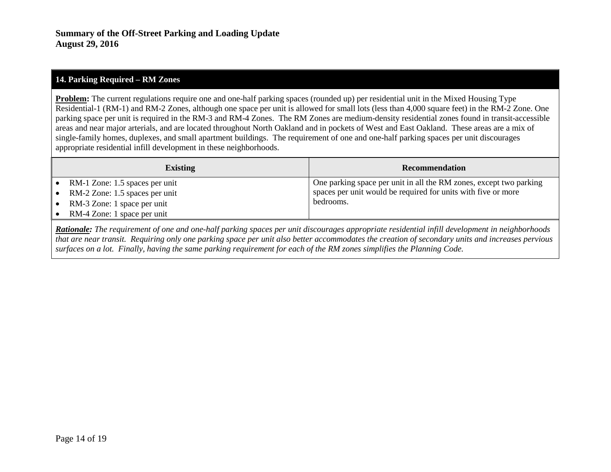## **14. Parking Required – RM Zones**

**Problem:** The current regulations require one and one-half parking spaces (rounded up) per residential unit in the Mixed Housing Type Residential-1 (RM-1) and RM-2 Zones, although one space per unit is allowed for small lots (less than 4,000 square feet) in the RM-2 Zone. One parking space per unit is required in the RM-3 and RM-4 Zones. The RM Zones are medium-density residential zones found in transit-accessible areas and near major arterials, and are located throughout North Oakland and in pockets of West and East Oakland. These areas are a mix of single-family homes, duplexes, and small apartment buildings. The requirement of one and one-half parking spaces per unit discourages appropriate residential infill development in these neighborhoods.

| <b>Existing</b>                                                  | <b>Recommendation</b>                                                                                                               |
|------------------------------------------------------------------|-------------------------------------------------------------------------------------------------------------------------------------|
| RM-1 Zone: 1.5 spaces per unit<br>RM-2 Zone: 1.5 spaces per unit | One parking space per unit in all the RM zones, except two parking<br>spaces per unit would be required for units with five or more |
| RM-3 Zone: 1 space per unit                                      | bedrooms.                                                                                                                           |
| RM-4 Zone: 1 space per unit                                      |                                                                                                                                     |

*Rationale: The requirement of one and one-half parking spaces per unit discourages appropriate residential infill development in neighborhoods that are near transit. Requiring only one parking space per unit also better accommodates the creation of secondary units and increases pervious surfaces on a lot. Finally, having the same parking requirement for each of the RM zones simplifies the Planning Code.*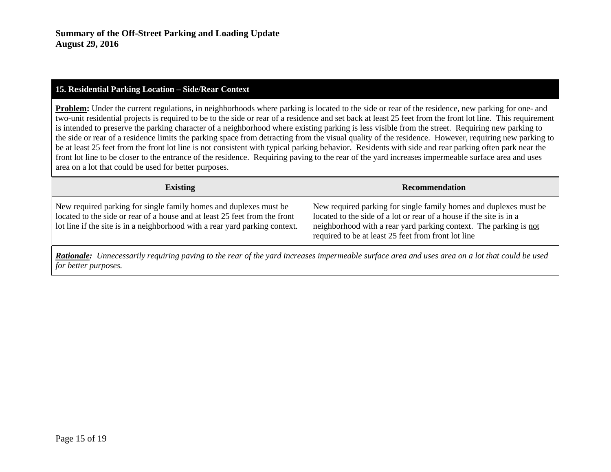#### **15. Residential Parking Location – Side/Rear Context**

**Problem:** Under the current regulations, in neighborhoods where parking is located to the side or rear of the residence, new parking for one- and two-unit residential projects is required to be to the side or rear of a residence and set back at least 25 feet from the front lot line. This requirement is intended to preserve the parking character of a neighborhood where existing parking is less visible from the street. Requiring new parking to the side or rear of a residence limits the parking space from detracting from the visual quality of the residence. However, requiring new parking to be at least 25 feet from the front lot line is not consistent with typical parking behavior. Residents with side and rear parking often park near the front lot line to be closer to the entrance of the residence. Requiring paving to the rear of the yard increases impermeable surface area and uses area on a lot that could be used for better purposes.

| <b>Existing</b>                                                                                                                                                                                                                | <b>Recommendation</b>                                                                                                                                                                                                                                                |
|--------------------------------------------------------------------------------------------------------------------------------------------------------------------------------------------------------------------------------|----------------------------------------------------------------------------------------------------------------------------------------------------------------------------------------------------------------------------------------------------------------------|
| New required parking for single family homes and duplexes must be<br>located to the side or rear of a house and at least 25 feet from the front<br>lot line if the site is in a neighborhood with a rear yard parking context. | New required parking for single family homes and duplexes must be<br>located to the side of a lot or rear of a house if the site is in a<br>neighborhood with a rear yard parking context. The parking is not<br>required to be at least 25 feet from front lot line |

*Rationale: Unnecessarily requiring paving to the rear of the yard increases impermeable surface area and uses area on a lot that could be used for better purposes.*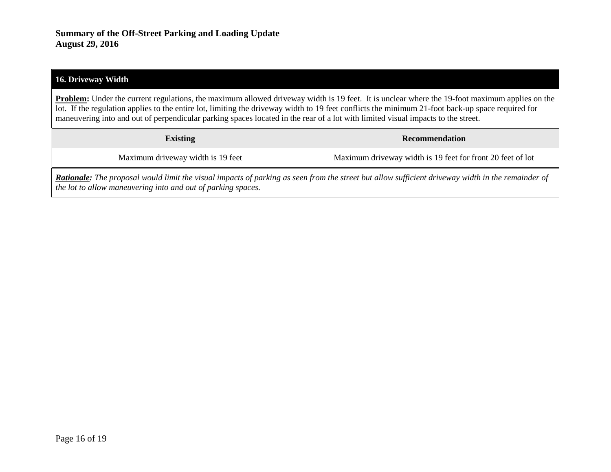#### **16. Driveway Width**

**Problem:** Under the current regulations, the maximum allowed driveway width is 19 feet. It is unclear where the 19-foot maximum applies on the lot. If the regulation applies to the entire lot, limiting the driveway width to 19 feet conflicts the minimum 21-foot back-up space required for maneuvering into and out of perpendicular parking spaces located in the rear of a lot with limited visual impacts to the street.

| <b>Existing</b>                   | <b>Recommendation</b>                                      |
|-----------------------------------|------------------------------------------------------------|
| Maximum driveway width is 19 feet | Maximum driveway width is 19 feet for front 20 feet of lot |

*Rationale: The proposal would limit the visual impacts of parking as seen from the street but allow sufficient driveway width in the remainder of the lot to allow maneuvering into and out of parking spaces.*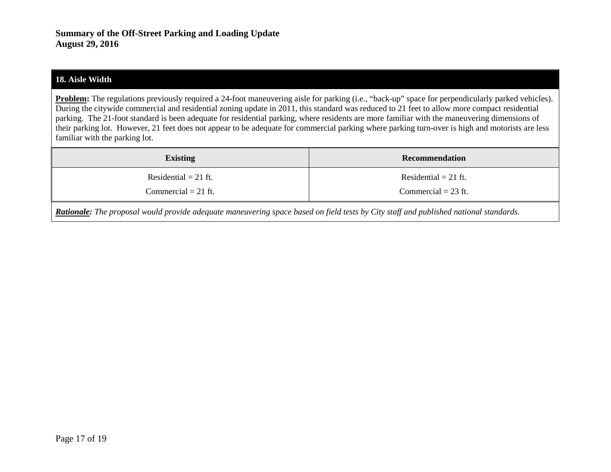#### **18. Aisle Width**

**Problem:** The regulations previously required a 24-foot maneuvering aisle for parking (i.e., "back-up" space for perpendicularly parked vehicles). During the citywide commercial and residential zoning update in 2011, this standard was reduced to 21 feet to allow more compact residential parking. The 21-foot standard is been adequate for residential parking, where residents are more familiar with the maneuvering dimensions of their parking lot. However, 21 feet does not appear to be adequate for commercial parking where parking turn-over is high and motorists are less familiar with the parking lot.

| <b>Existing</b>                                                                                                                              | Recommendation         |
|----------------------------------------------------------------------------------------------------------------------------------------------|------------------------|
| Residential $= 21$ ft.                                                                                                                       | Residential $= 21$ ft. |
| Commercial $= 21$ ft.                                                                                                                        | Commercial $= 23$ ft.  |
| <b>Rationale:</b> The proposal would provide adequate maneuvering space based on field tests by City staff and published national standards. |                        |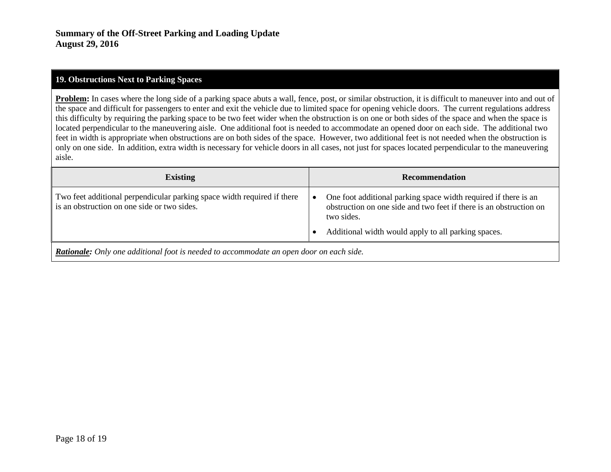#### **19. Obstructions Next to Parking Spaces**

**Problem:** In cases where the long side of a parking space abuts a wall, fence, post, or similar obstruction, it is difficult to maneuver into and out of the space and difficult for passengers to enter and exit the vehicle due to limited space for opening vehicle doors. The current regulations address this difficulty by requiring the parking space to be two feet wider when the obstruction is on one or both sides of the space and when the space is located perpendicular to the maneuvering aisle. One additional foot is needed to accommodate an opened door on each side. The additional two feet in width is appropriate when obstructions are on both sides of the space. However, two additional feet is not needed when the obstruction is only on one side. In addition, extra width is necessary for vehicle doors in all cases, not just for spaces located perpendicular to the maneuvering aisle.

| <b>Existing</b>                                                                                                        | <b>Recommendation</b>                                                                                                                               |
|------------------------------------------------------------------------------------------------------------------------|-----------------------------------------------------------------------------------------------------------------------------------------------------|
| Two feet additional perpendicular parking space width required if there<br>is an obstruction on one side or two sides. | One foot additional parking space width required if there is an<br>obstruction on one side and two feet if there is an obstruction on<br>two sides. |
|                                                                                                                        | Additional width would apply to all parking spaces.                                                                                                 |
| <b>Rationale:</b> Only one additional foot is needed to accommodate an open door on each side.                         |                                                                                                                                                     |